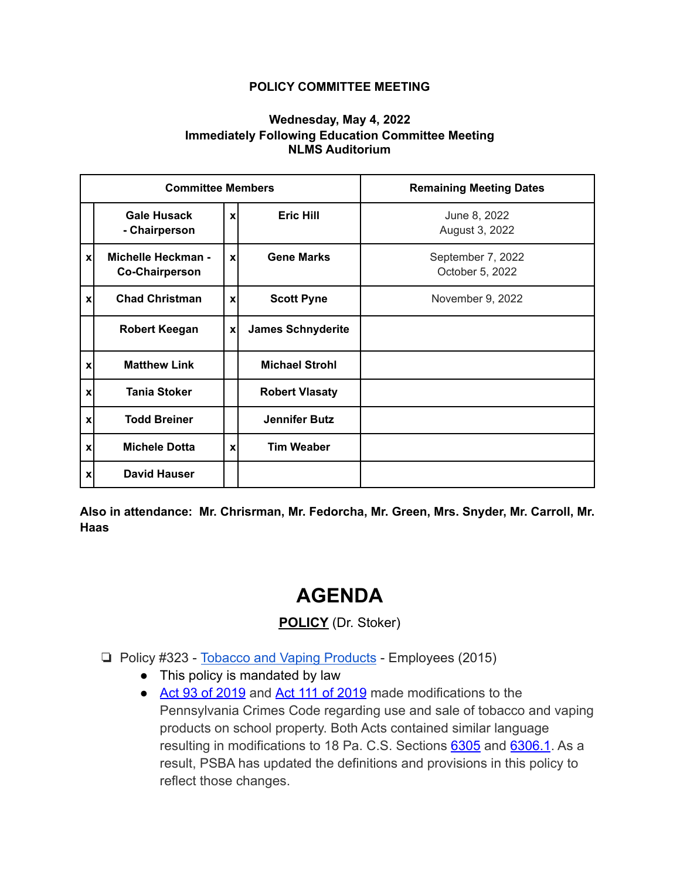## **POLICY COMMITTEE MEETING**

## **Wednesday, May 4, 2022 Immediately Following Education Committee Meeting NLMS Auditorium**

| <b>Committee Members</b>  |                                             |              |                          | <b>Remaining Meeting Dates</b>       |
|---------------------------|---------------------------------------------|--------------|--------------------------|--------------------------------------|
|                           | <b>Gale Husack</b><br>- Chairperson         | $\mathbf{x}$ | <b>Eric Hill</b>         | June 8, 2022<br>August 3, 2022       |
| xl                        | Michelle Heckman -<br><b>Co-Chairperson</b> | $\mathbf{x}$ | <b>Gene Marks</b>        | September 7, 2022<br>October 5, 2022 |
| xl                        | <b>Chad Christman</b>                       | X            | <b>Scott Pyne</b>        | November 9, 2022                     |
|                           | <b>Robert Keegan</b>                        | $\pmb{\chi}$ | <b>James Schnyderite</b> |                                      |
| $\mathbf{x}$              | <b>Matthew Link</b>                         |              | <b>Michael Strohl</b>    |                                      |
| $\boldsymbol{\mathsf{x}}$ | <b>Tania Stoker</b>                         |              | <b>Robert Vlasaty</b>    |                                      |
| $\mathbf{x}$              | <b>Todd Breiner</b>                         |              | <b>Jennifer Butz</b>     |                                      |
| $\boldsymbol{\mathsf{x}}$ | <b>Michele Dotta</b>                        | $\mathbf{x}$ | <b>Tim Weaber</b>        |                                      |
| $\mathbf{x}$              | <b>David Hauser</b>                         |              |                          |                                      |

**Also in attendance: Mr. Chrisrman, Mr. Fedorcha, Mr. Green, Mrs. Snyder, Mr. Carroll, Mr. Haas**

## **AGENDA**

**POLICY** (Dr. Stoker)

- ❏ Policy #323 [Tobacco and Vaping Products](https://drive.google.com/file/d/1AsSsyhmntTFs6iVTrZ3gA6FfRfLZWSVf/view?usp=sharing) Employees (2015)
	- This policy is mandated by law
	- [Act 93 of 2019](https://www.legis.state.pa.us/cfdocs/Legis/LI/uconsCheck.cfm?txtType=HTM&yr=2019&sessInd=0&smthLwInd=0&act=0093.) and [Act 111 of 2019](https://www.legis.state.pa.us/cfdocs/Legis/LI/uconsCheck.cfm?txtType=HTM&yr=2019&sessInd=0&smthLwInd=0&act=0111.) made modifications to the Pennsylvania Crimes Code regarding use and sale of tobacco and vaping products on school property. Both Acts contained similar language resulting in modifications to 18 Pa. C.S. Sections [6305](https://www.legis.state.pa.us/cfdocs/legis/LI/consCheck.cfm?txtType=HTM&ttl=18&div=0&chpt=63&sctn=5&subsctn=0) and [6306.1](https://www.legis.state.pa.us/cfdocs/legis/LI/consCheck.cfm?txtType=HTM&ttl=18&div=0&chpt=63&sctn=6&subsctn=1). As a result, PSBA has updated the definitions and provisions in this policy to reflect those changes.